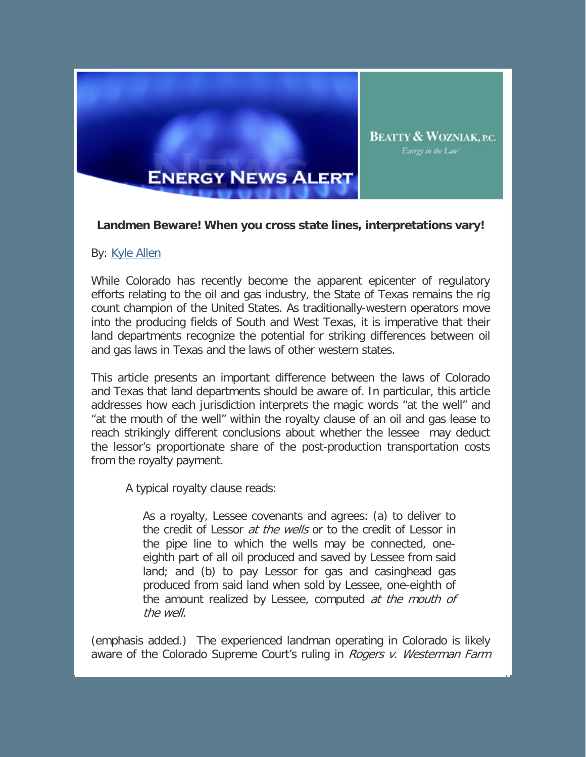

## **Landmen Beware! When you cross state lines, interpretations vary!**

## By: [Kyle Allen](http://www.bwenergylaw.com/Attorneys/KAllen.asp)

While Colorado has recently become the apparent epicenter of regulatory efforts relating to the oil and gas industry, the State of Texas remains the rig count champion of the United States. As traditionally-western operators move into the producing fields of South and West Texas, it is imperative that their land departments recognize the potential for striking differences between oil and gas laws in Texas and the laws of other western states.

This article presents an important difference between the laws of Colorado and Texas that land departments should be aware of. In particular, this article addresses how each jurisdiction interprets the magic words "at the well" and "at the mouth of the well" within the royalty clause of an oil and gas lease to reach strikingly different conclusions about whether the lessee may deduct the lessor's proportionate share of the post-production transportation costs from the royalty payment.

A typical royalty clause reads:

As a royalty, Lessee covenants and agrees: (a) to deliver to the credit of Lessor *at the wells* or to the credit of Lessor in the pipe line to which the wells may be connected, oneeighth part of all oil produced and saved by Lessee from said land; and (b) to pay Lessor for gas and casinghead gas produced from said land when sold by Lessee, one-eighth of the amount realized by Lessee, computed at the mouth of the well.

(emphasis added.) The experienced landman operating in Colorado is likely aware of the Colorado Supreme Court's ruling in *Rogers v. Westerman Farm*